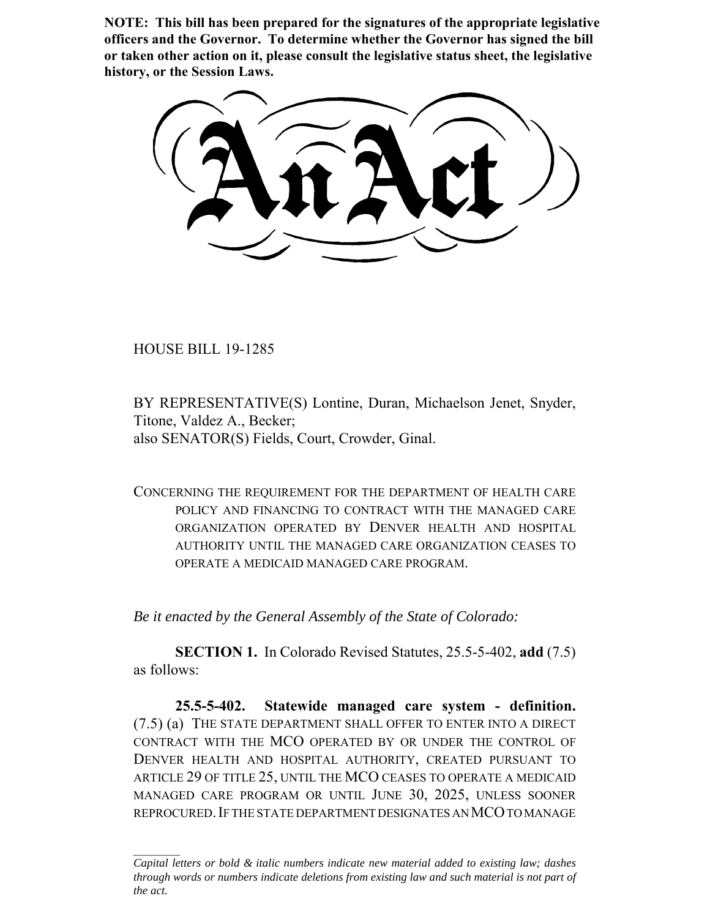**NOTE: This bill has been prepared for the signatures of the appropriate legislative officers and the Governor. To determine whether the Governor has signed the bill or taken other action on it, please consult the legislative status sheet, the legislative history, or the Session Laws.**

HOUSE BILL 19-1285

BY REPRESENTATIVE(S) Lontine, Duran, Michaelson Jenet, Snyder, Titone, Valdez A., Becker; also SENATOR(S) Fields, Court, Crowder, Ginal.

CONCERNING THE REQUIREMENT FOR THE DEPARTMENT OF HEALTH CARE POLICY AND FINANCING TO CONTRACT WITH THE MANAGED CARE ORGANIZATION OPERATED BY DENVER HEALTH AND HOSPITAL AUTHORITY UNTIL THE MANAGED CARE ORGANIZATION CEASES TO OPERATE A MEDICAID MANAGED CARE PROGRAM.

*Be it enacted by the General Assembly of the State of Colorado:*

**SECTION 1.** In Colorado Revised Statutes, 25.5-5-402, **add** (7.5) as follows:

**25.5-5-402. Statewide managed care system - definition.** (7.5) (a) THE STATE DEPARTMENT SHALL OFFER TO ENTER INTO A DIRECT CONTRACT WITH THE MCO OPERATED BY OR UNDER THE CONTROL OF DENVER HEALTH AND HOSPITAL AUTHORITY, CREATED PURSUANT TO ARTICLE 29 OF TITLE 25, UNTIL THE MCO CEASES TO OPERATE A MEDICAID MANAGED CARE PROGRAM OR UNTIL JUNE 30, 2025, UNLESS SOONER REPROCURED.IF THE STATE DEPARTMENT DESIGNATES AN MCO TO MANAGE

*Capital letters or bold & italic numbers indicate new material added to existing law; dashes through words or numbers indicate deletions from existing law and such material is not part of the act.*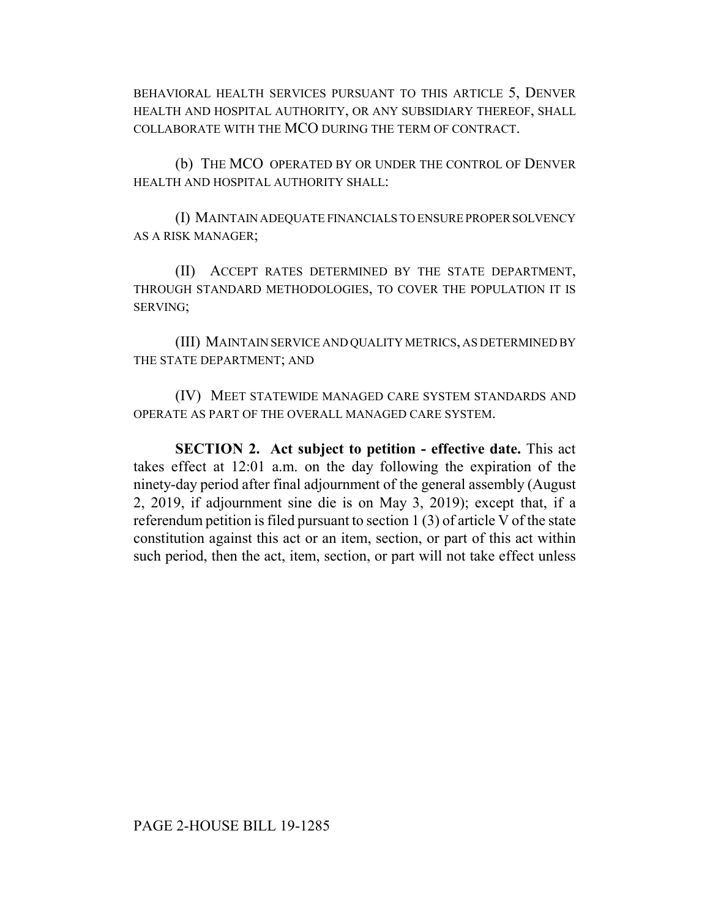BEHAVIORAL HEALTH SERVICES PURSUANT TO THIS ARTICLE 5, DENVER HEALTH AND HOSPITAL AUTHORITY, OR ANY SUBSIDIARY THEREOF, SHALL COLLABORATE WITH THE MCO DURING THE TERM OF CONTRACT.

(b) THE MCO OPERATED BY OR UNDER THE CONTROL OF DENVER HEALTH AND HOSPITAL AUTHORITY SHALL:

(I) MAINTAIN ADEQUATE FINANCIALS TO ENSURE PROPER SOLVENCY AS A RISK MANAGER;

(II) ACCEPT RATES DETERMINED BY THE STATE DEPARTMENT, THROUGH STANDARD METHODOLOGIES, TO COVER THE POPULATION IT IS SERVING;

(III) MAINTAIN SERVICE AND QUALITY METRICS, AS DETERMINED BY THE STATE DEPARTMENT; AND

(IV) MEET STATEWIDE MANAGED CARE SYSTEM STANDARDS AND OPERATE AS PART OF THE OVERALL MANAGED CARE SYSTEM.

**SECTION 2. Act subject to petition - effective date.** This act takes effect at 12:01 a.m. on the day following the expiration of the ninety-day period after final adjournment of the general assembly (August 2, 2019, if adjournment sine die is on May 3, 2019); except that, if a referendum petition is filed pursuant to section 1 (3) of article V of the state constitution against this act or an item, section, or part of this act within such period, then the act, item, section, or part will not take effect unless